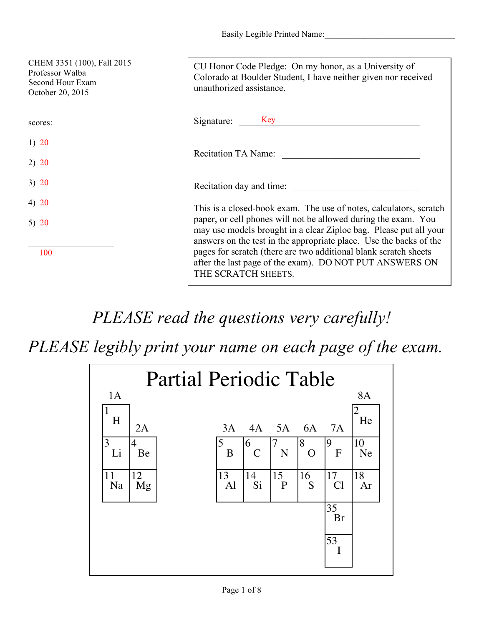Easily Legible Printed Name:

| CHEM 3351 (100), Fall 2015<br>Professor Walba<br>Second Hour Exam<br>October 20, 2015 | CU Honor Code Pledge: On my honor, as a University of<br>Colorado at Boulder Student, I have neither given nor received<br>unauthorized assistance.                                                       |
|---------------------------------------------------------------------------------------|-----------------------------------------------------------------------------------------------------------------------------------------------------------------------------------------------------------|
| scores:                                                                               | Signature: Key                                                                                                                                                                                            |
| 1) 20                                                                                 |                                                                                                                                                                                                           |
| 2) 20                                                                                 | Recitation TA Name:                                                                                                                                                                                       |
| 3) 20                                                                                 | Recitation day and time:                                                                                                                                                                                  |
| 4) $20$                                                                               | This is a closed-book exam. The use of notes, calculators, scratch                                                                                                                                        |
| 5) $20$                                                                               | paper, or cell phones will not be allowed during the exam. You<br>may use models brought in a clear Ziploc bag. Please put all your<br>answers on the test in the appropriate place. Use the backs of the |
| 100                                                                                   | pages for scratch (there are two additional blank scratch sheets)<br>after the last page of the exam). DO NOT PUT ANSWERS ON<br>THE SCRATCH SHEETS.                                                       |

## *PLEASE read the questions very carefully!*

*PLEASE legibly print your name on each page of the exam.*

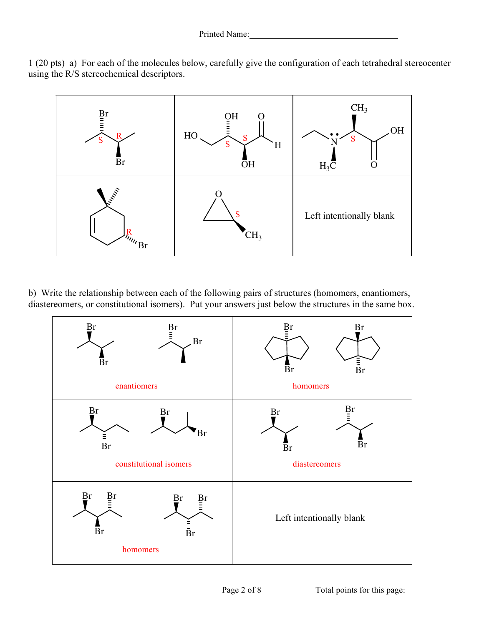1 (20 pts) a) For each of the molecules below, carefully give the configuration of each tetrahedral stereocenter using the R/S stereochemical descriptors.



b) Write the relationship between each of the following pairs of structures (homomers, enantiomers, diastereomers, or constitutional isomers). Put your answers just below the structures in the same box.

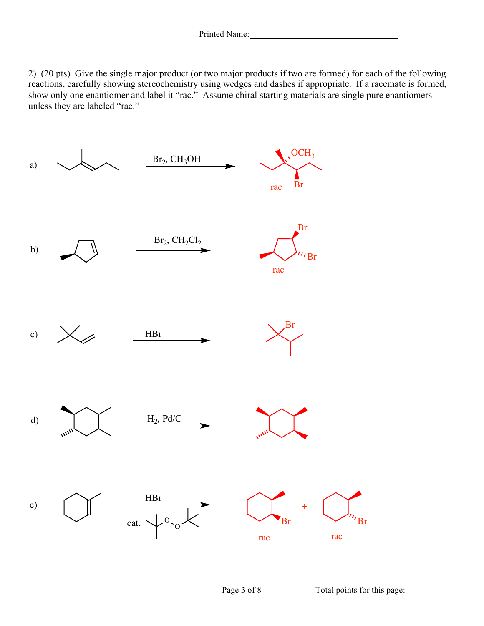2) (20 pts) Give the single major product (or two major products if two are formed) for each of the following reactions, carefully showing stereochemistry using wedges and dashes if appropriate. If a racemate is formed, show only one enantiomer and label it "rac." Assume chiral starting materials are single pure enantiomers unless they are labeled "rac."

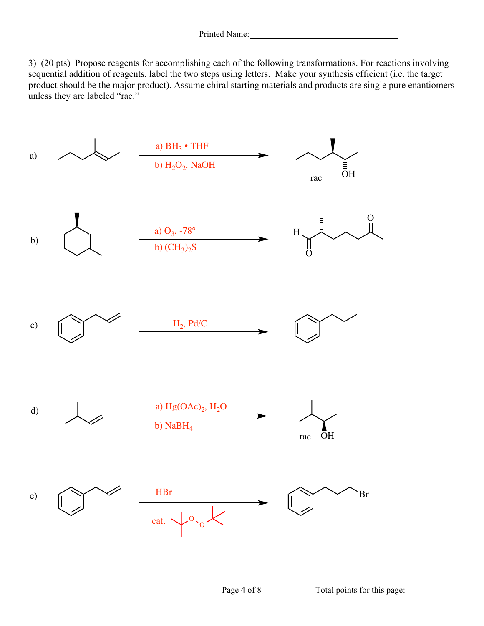3) (20 pts) Propose reagents for accomplishing each of the following transformations. For reactions involving sequential addition of reagents, label the two steps using letters. Make your synthesis efficient (i.e. the target product should be the major product). Assume chiral starting materials and products are single pure enantiomers unless they are labeled "rac."



Page 4 of 8 Total points for this page: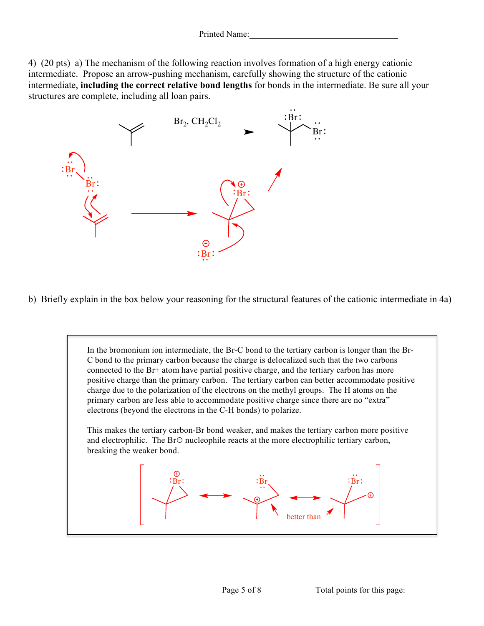4) (20 pts) a) The mechanism of the following reaction involves formation of a high energy cationic intermediate. Propose an arrow-pushing mechanism, carefully showing the structure of the cationic intermediate, **including the correct relative bond lengths** for bonds in the intermediate. Be sure all your structures are complete, including all loan pairs.



b) Briefly explain in the box below your reasoning for the structural features of the cationic intermediate in 4a)

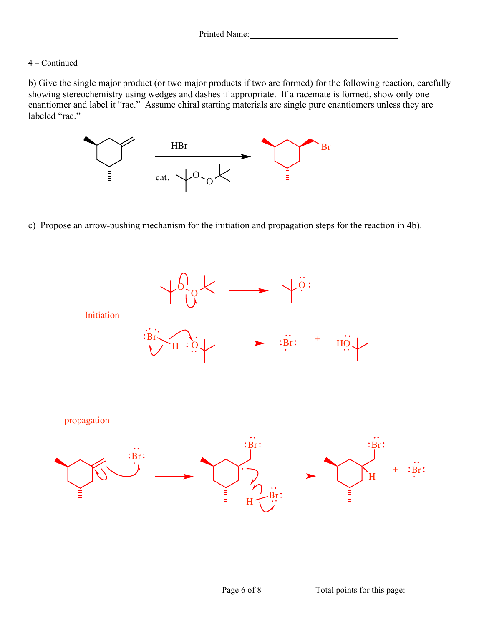## 4 – Continued

propagation

b) Give the single major product (or two major products if two are formed) for the following reaction, carefully showing stereochemistry using wedges and dashes if appropriate. If a racemate is formed, show only one enantiomer and label it "rac." Assume chiral starting materials are single pure enantiomers unless they are labeled "rac."



c) Propose an arrow-pushing mechanism for the initiation and propagation steps for the reaction in 4b).



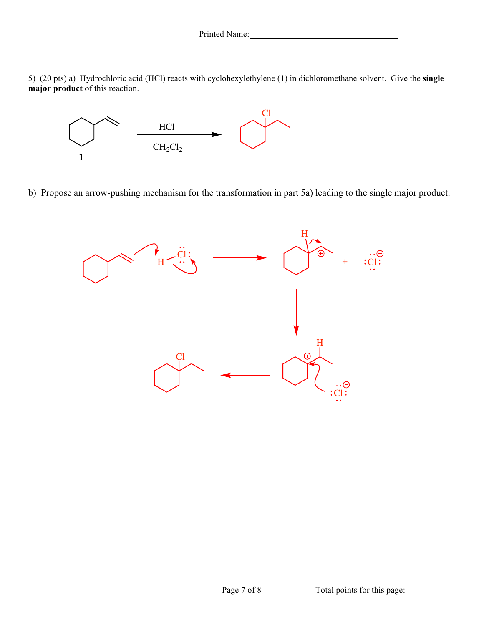Printed Name:

5) (20 pts) a) Hydrochloric acid (HCl) reacts with cyclohexylethylene (**1**) in dichloromethane solvent. Give the **single major product** of this reaction.



b) Propose an arrow-pushing mechanism for the transformation in part 5a) leading to the single major product.